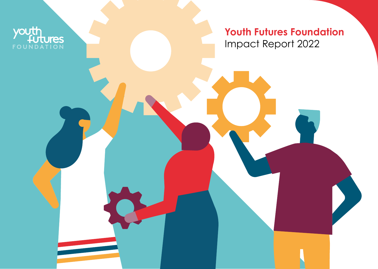**Youth Futures Foundation**  Impact Report 2022

youth

FOUNDATION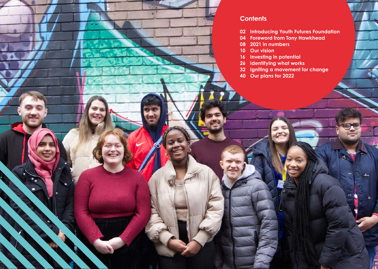**Ca** 

## **Contents**

- **Introducing Youth Futures Foundation**
- **Foreword from Tony Hawkhead**
- **2021 in numbers**
- **Our vision**
- **Investing in potential**
- **Identifying what works**
	- **Igniting a movement for change**
- **Our plans for 2022**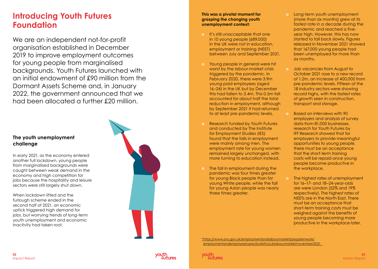## **Introducing Youth Futures Foundation**

We are an independent not-for-profit organisation established in December 2019 to improve employment outcomes for young people from marginalised backgrounds. Youth Futures launched with an initial endowment of £90 million from the Dormant Assets Scheme and, in January 2022, the government announced that we had been allocated a further £20 million.

#### **The youth unemployment challenge**

In early 2021, as the economy entered another full lockdown, young people from marginalised backgrounds were caught between weak demand in the economy and high competition for jobs because the hospitality and leisure sectors were still largely shut down.

When lockdown lifted and the furlough scheme ended in the second half of 2021, an economic uptick triggered high demand for jobs, but worrying trends of long-term youth unemployment and economic inactivity had taken root.



#### **This was a pivotal moment for grasping the changing youth unemployment context:**

- **o** It's still unacceptable that one in 10 young people (689,000) in the UK were not in education, employment or training (NEET) between July and September 2021.
- **o** Young people in general were hit worst by the labour-market crisis triggered by the pandemic. In February 2020, there were 3.9m young paid employees (aged 16–24) in the UK but by December this had fallen to 3.4m. This 0.5m fall accounted for about half the total reduction in employment, although by September 2021 it had returned to at least pre-pandemic levels.
- **o** Research funded by Youth Futures and conducted by The Institute for Employment Studies (IES) found that the falls in employment were mainly among men. The employment rate for young women remained largely unchanged, with more turning to education instead.
- **o** The fall in employment during the pandemic was four times greater for young Black people than for young White people, while the fall for young Asian people was nearly three times greater.
- **o** Long-term youth unemployment (more than six months) grew at its fastest rate in a decade during the pandemic and reached a fiveyear high. However, this has now started to fall back slowly. Figures released in November 2021 showed that 167,000 young people had been unemployed for more than six months.
- **o** Job vacancies from August to October 2021 rose to a new record of 1.2m, an increase of 400,000 from pre-pandemic levels. Fifteen of the 18 industry sectors were showing record highs, with the fastest rates of growth seen in construction, transport and storage.
- **o** Based on interviews with 90 employers and analysis of survey data from 81,000 businesses, research for Youth Futures by IFF Research showed that for employers to provide meaningful opportunities to young people, there must be an acceptance that the short-term training costs will be repaid once young people become productive in the workplace.
- **o** The highest rates of unemployment for 16–17- and 18–24-year-olds are were London (52% and 19% respectively). The highest rates of NEETs are in the North East. There must be an acceptance that short-term training costs must be weighed against the benefits of young people becoming more productive in the workplace later.

\*https://www.ons.gov.uk/employmentandlabourmarket/peopleinwork/ employmentandemployeetypes/bulletins/uklabourmarket/november2021

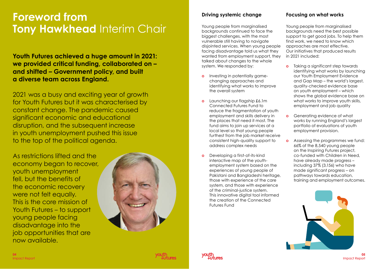## **Foreword from Tony Hawkhead Interim Chair**

**Youth Futures achieved a huge amount in 2021: we provided critical funding, collaborated on – and shifted – Government policy, and built a diverse team across England.**

2021 was a busy and exciting year of growth for Youth Futures but it was characterised by constant change. The pandemic caused significant economic and educational disruption, and the subsequent increase in youth unemployment pushed this issue to the top of the political agenda.

As restrictions lifted and the economy began to recover, youth unemployment fell, but the benefits of the economic recovery were not felt equally. This is the core mission of Youth Futures – to support young people facing disadvantage into the job opportunities that are now available.



### **Driving systemic change**

Young people from marginalised backgrounds continued to face the biggest challenges, with the most vulnerable still having to navigate disjointed services. When young people facing disadvantage told us what they wanted from employment support, they talked about changes to the whole system. We responded by:

- **o** Investing in potentially gamechanging approaches and identifying what works to improve the overall system
- **o** Launching our flagship £6.1m Connected Futures Fund to reduce the fragmentation of youth employment and skills delivery in the places that need it most. The fund aims to join up services at a local level so that young people furthest from the job market receive consistent high-quality support to address complex needs
- **o** Developing a first-of-its-kind interactive map of the youthemployment system based on the experiences of young people of Pakistani and Bangladeshi heritage, those with experience of the care system, and those with experience of the criminal-justice system. This innovative digital tool informed the creation of the Connected Futures Fund

#### **Focusing on what works**

Young people from marginalised backgrounds need the best possible support to get good jobs. To help them find work, we need to know which approaches are most effective. Our initiatives that produced results in 2021 included:

- **o** Taking a significant step towards identifying what works by launching our Youth Employment Evidence and Gap Map – the world's largest, quality-checked evidence base on youth employment – which shows the global evidence base on what works to improve youth skills, employment and job quality
- **o** Generating evidence of what works by running England's largest portfolio of evaluations of youth employment provision.
- **o** Assessing the programmes we fund: 66% of the 8,540 young people on the Inspiring Futures project, co-funded with Children in Need, have already made progress – including 37% (3,156) who have made significant progress – on pathways towards education, training and employment outcomes.



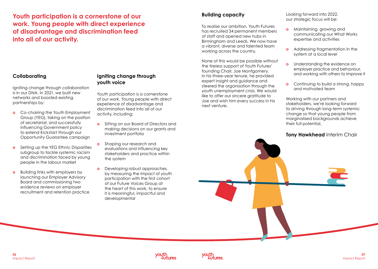**Youth participation is a cornerstone of our work. Young people with direct experience of disadvantage and discrimination feed into all of our activity.**

#### **Collaborating**

Igniting change through collaboration is in our DNA. In 2021, we built new networks and boosted existing partnerships by:

- **o** Co-chairing the Youth Employment Group (YEG), taking on the position of secretariat, and successfully influencing Government policy to extend Kickstart through our Opportunity Guarantee campaign
- **o** Setting up the YEG Ethnic Disparities subgroup to tackle systemic racism and discrimination faced by young people in the labour market
- **o** Building links with employers by launching our Employer Advisory Board and commissioning two evidence reviews on employer recruitment and retention practice

#### **Igniting change through youth voice**

Youth participation is a cornerstone of our work. Young people with direct experience of disadvantage and discrimination feed into all of our activity, including:

- **o** Sitting on our Board of Directors and making decisions on our grants and investment portfolio
- **o** Shaping our research and evaluations and influencing key stakeholders and practice within the system
- **o** Developing robust approaches, by measuring the impact of youth participation with the first cohort of our Future Voices Group at the heart of this work, to ensure it is meaningful, impactful and developmental

#### **Building capacity**

To realise our ambition, Youth Futures has recruited 34 permanent members of staff and opened new hubs in Birmingham and Leeds. We now have a vibrant, diverse and talented team working across the country.

None of this would be possible without the tireless support of Youth Futures' founding Chair, Joe Montgomery. In his three-year tenure, he provided expert insight and guidance and steered the organisation through the youth unemployment crisis. We would like to offer our sincere gratitude to Joe and wish him every success in his next venture.

Looking forward into 2022, our strategic focus will be:

- **o** Maintaining, growing and communicating our What Works expertise and activities
- **o** Addressing fragmentation in the system at a local level
- **o** Understanding the evidence on employer practice and behaviour, and working with others to improve it
- **o** Continuing to build a strong, happy and motivated team

Working with our partners and stakeholders, we're looking forward to driving through long-term systemic change so that young people from marginalised backgrounds achieve their full potential.

#### **Tony Hawkhead** Interim Chair



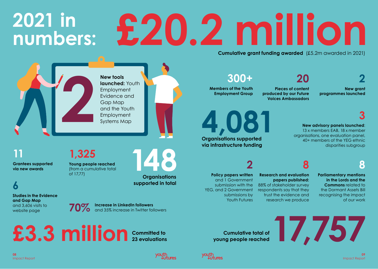# **2021 in numbers: £20.2 million Cumulative grant funding awarded** (£5.2m awarded in 2021)

## **300+**

**Members of the Youth Employment Group**

**4,081**

**Organisations supported via infrastructure funding**

**Pieces of content produced by our Future Voices Ambassadors**

**20**

**2 New grant programmes launched**

**3**

**New advisory panels launched**: 13 x members EAB, 18 x member organisations, one evaluation panel, 40+ members of the YEG ethnic disparities subgroup

**8**

**Parliamentary mentions in the Lords and the Commons** related to the Dormant Assets Bill recognising the impact of our work

**Policy papers written** and 1 Government submission with the YEG, and 2 Government submissions by Youth Futures

**2**

**Research and evaluation papers published:** trust the evidence and

research we produce

**8**

88% of stakeholder survey respondents say that they

E3.3 million **23** evaluations committed to **23** evaluations community and the control of 17,757

**Cumulative total of** 



**08**  Impact Report

**11**

**6**

**Grantees supported via new awards**

**Studies in the Evidence**

**and Gap Map** and 3,606 visits to website page



**New tools** 

**launched:** Youth Employment Evidence and Gap Map and the Youth Employment Systems Map

**2**

**1,325**

of 17,77)

**Young people reached** (from a cumulative total

**Organisations supported in total**

**148**



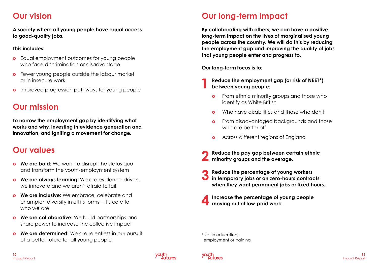## **Our vision**

**A society where all young people have equal access to good-quality jobs.** 

#### **This includes:**

- **o** Equal employment outcomes for young people who face discrimination or disadvantage
- **o** Fewer young people outside the labour market or in insecure work
- **o** Improved progression pathways for young people

## **Our mission**

**To narrow the employment gap by identifying what works and why, investing in evidence generation and innovation, and igniting a movement for change.** 

## **Our values**

- **o We are bold:** We want to disrupt the status quo and transform the youth-employment system
- **o We are always learning:** We are evidence-driven, we innovate and we aren't afraid to fail
- **o We are inclusive:** We embrace, celebrate and champion diversity in all its forms – it's core to who we are
- **o We are collaborative:** We build partnerships and share power to increase the collective impact
- **o We are determined:** We are relentless in our pursuit of a better future for all young people

## **Our long-term impact**

**By collaborating with others, we can have a positive long-term impact on the lives of marginalised young people across the country. We will do this by reducing the employment gap and improving the quality of jobs that young people enter and progress to.** 

**Our long-term focus is to:**

- **1 Reduce the employment gap (or risk of NEET\*) between young people:**
	- **o** From ethnic minority groups and those who identify as White British
	- **o** Who have disabilities and those who don't
	- **o** From disadvantaged backgrounds and those who are better off
	- **o** Across different regions of England
- **2 Reduce the pay gap between certain ethnic minority groups and the average.**
- **3 Reduce the percentage of young workers in temporary jobs or on zero-hours contracts when they want permanent jobs or fixed hours.**
- **4 Increase the percentage of young people moving out of low-paid work.**

\*Not in education, employment or training



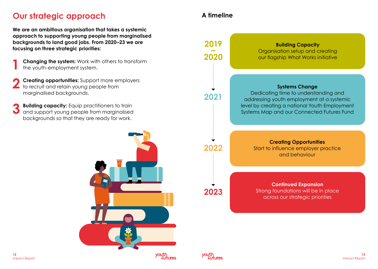## **Our strategic approach**

**We are an ambitious organisation that takes a systemic approach to supporting young people from marginalised backgrounds to land good jobs. From 2020–23 we are focusing on three strategic priorities:** 

- **Changing the system:** Work with others to transform the youth-employment system.
- **2 Creating opportunities:** Support more employers to recruit and retain young people from marginalised backgrounds.
- **3 Building capacity:** Equip practitioners to train and support young people from marginalised backgrounds so that they are ready for work.



## **A timeline**



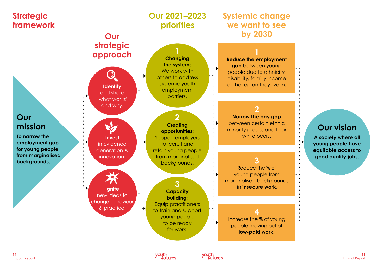

youth

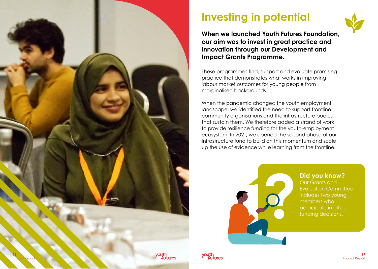

# **Investing in potential**



**When we launched Youth Futures Foundation, our aim was to invest in great practice and innovation through our Development and Impact Grants Programme.** 

These programmes find, support and evaluate promising practice that demonstrates what works in improving labour market outcomes for young people from marginalised backgrounds.

When the pandemic changed the youth employment landscape, we identified the need to support frontline community organisations and the infrastructure bodies that sustain them. We therefore added a strand of work to provide resilience funding for the youth-employment ecosystem. In 2021, we opened the second phase of our Infrastructure fund to build on this momentum and scale up the use of evidence while learning from the frontline.



**Did you know?** Our Grants and Evaluation Committee includes two young members who participate in all our funding decisions.

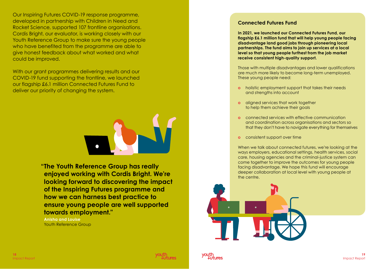Our Inspiring Futures COVID-19 response programme, developed in partnership with Children in Need and Rocket Science, supported 107 frontline organisations. Cordis Bright, our evaluator, is working closely with our Youth Reference Group to make sure the young people who have benefited from the programme are able to give honest feedback about what worked and what could be improved.

With our grant programmes delivering results and our COVID-19 fund supporting the frontline, we launched our flagship £6.1 million Connected Futures Fund to deliver our priority of changing the system.



**"The Youth Reference Group has really enjoyed working with Cordis Bright. We're looking forward to discovering the impact of the Inspiring Futures programme and how we can harness best practice to ensure young people are well supported towards employment."** 

**Anisha and Louise** Youth Reference Group

#### **Connected Futures Fund**

**In 2021, we launched our Connected Futures Fund, our flagship £6.1 million fund that will help young people facing disadvantage land good jobs through pioneering local partnerships. The fund aims to join up services at a local level so that young people furthest from the job market receive consistent high-quality support.**

Those with multiple disadvantages and lower qualifications are much more likely to become long-term unemployed. These young people need:

- **o** holistic employment support that takes their needs and strengths into account
- **o** aligned services that work together to help them achieve their goals
- **o** connected services with effective communication and coordination across organisations and sectors so that they don't have to navigate everything for themselves
- **o** consistent support over time

When we talk about connected futures, we're looking at the ways employers, educational settings, health services, social care, housing agencies and the criminal-justice system can come together to improve the outcomes for young people facing disadvantage. We hope this fund will encourage deeper collaboration at local level with young people at the centre.





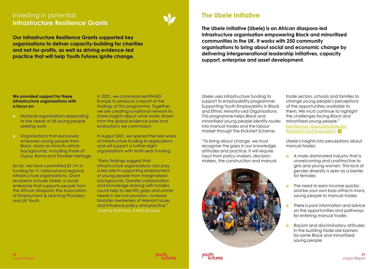## Investing in potential: **Infrastructure Resilience Grants**



**Our Infrastructure Resilience Grants supported key organisations to deliver capacity-building for charities and not-for-profits, as well as driving evidence-led practice that will help Youth Futures ignite change.**

## **The Ubele Initiative**

**The Ubele Initiative (Ubele) is an African diaspora-led infrastructure organisation empowering Black and minoritised communities in the UK. It works with 250 community organisations to bring about social and economic change by delivering intergenerational leadership initiatives, capacity support, enterprise and asset development.**

#### **We provided support for these infrastructure organisations with a focus on:**

- **o** National organisations responding to the needs of all young people seeking work
- **o** Organisations that exclusively empower young people from Black, Asian or minority ethnic backgrounds, including those of Gypsy, Roma and Traveller heritage

So far, we have committed £1.7m in funding for 11 national and regional infrastructure organisations. Grant recipients include Ubele, a social enterprise that supports people from the African diaspora; the Association of Employment & Learning Providers; and UK Youth.

In 2021, we commissioned RAND Europe to produce a report of the findings of this programme. Together, we are creating a national network to share insights about what works drawn from the global evidence base and evaluations we commission.

In August 2021, we opened the next wave of Infrastructure funding to applications and will support a further eight organisations with multi-year funding.

"Early findings suggest that infrastructure organisations can play a key role in supporting employment of young people from marginalised backgrounds. Greater collaboration and knowledge sharing with funders could help to identify gaps and unmet needs in service provision, increase broader awareness of relevant issues and influence policy and practice." Joanna Hoffman, RAND Europe

Ubele uses Infrastructure funding to support its employability programme: Supporting Youth Employability in Black and Ethnic Minority-Led Organisations. This programme helps Black and minoritised young people identify routes into manual trades and the labour market through the Kickstart Scheme.

"To bring about change, we must recognise the gaps in our knowledge, attitudes and practice. It will require input from policy-makers, decisionmakers, the construction and manual





Ubele's insights into perceptions about manual trades:

- **o** A male-dominated industry that is unwelcoming and unattractive to girls and young women. This lack of gender diversity is seen as a barrier for females
- **o** The need to earn income quickly and be your own boss attracts many young people to manual trades
- **o** There is poor information and advice on the opportunities and pathways for entering manual trades
- **o** Racism and discriminatory attitudes in the building trade are barriers for some Black and minoritised young people

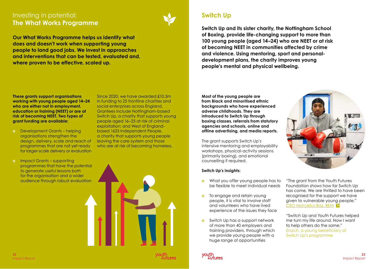## Investing in potential: **The What Works Programme**



**Our What Works Programme helps us identify what does and doesn't work when supporting young people to land good jobs. We invest in approaches and interventions that can be tested, evaluated and, where proven to be effective, scaled up.**

## **Switch Up**

**Switch Up and its sister charity, the Nottingham School of Boxing, provide life-changing support to more than 100 young people (aged 14–24) who are NEET or at risk of becoming NEET in communities affected by crime and violence. Using mentoring, sport and personaldevelopment plans, the charity improves young people's mental and physical wellbeing.**

**These grants support organisations working with young people aged 14–24 who are either not in employment, education or training (NEET) or are at risk of becoming NEET. Two types of grant funding are available:** 

**o** Development Grants – helping organisations strengthen the design, delivery, scale and reach of programmes that are not yet ready for larger-scale delivery or evaluation Since 2020, we have awarded £10.3m in funding to 25 frontline charities and social enterprises across England. Grantees include Nottingham-based Switch Up, a charity that supports young people aged 16–25 at risk of criminal exploitation; and West of Englandbased 1625 Independent People, a charity that supports young people leaving the care system and those who are at risk of becoming homeless.

**o** Impact Grants – supporting programmes that have the potential to generate useful lessons both for the organisation and a wider audience through robust evaluation



**Most of the young people are from Black and minoritised ethnic backgrounds who have experienced adverse childhoods. They are introduced to Switch Up through boxing classes, referrals from statutory agencies and schools, online and offline advertising, and media reports.**

The grant supports Switch Up's intensive mentoring and employability workshops, physical-activity sessions (primarily boxing), and emotional counselling if required.

#### **Switch Up's insights:**

- **o** What you offer young people has to be flexible to meet individual needs
- **o** To engage and retain young people, it is vital to involve staff and volunteers who have lived experience of the issues they face
- **o** Switch Up has a support network of more than 40 employers and training providers, through which we provide young people with a huge range of opportunities



"The grant from the Youth Futures Foundation shows how far Switch Up has come. We are thrilled to have been recognised for the support we have given to vulnerable young people." [CEO Marcellus Baz, BEM](https://www.marcellusbaz.co.uk/the-marcellus-baz-group/)

"Switch Up and Youth Futures helped me turn my life around. Now I want to help others do the same." Enoch, a young beneficiary of Switch Up's programme

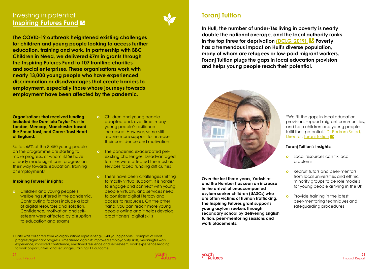## Investing in potential: **[Inspiring Futures Fund](https://youthfuturesfoundation.org/our-work/invest/inspiring-futures/) &**



**The COVID-19 outbreak heightened existing challenges for children and young people looking to access further education, training and work. In partnership with BBC Children in Need, we delivered £7m in grants through the Inspiring Futures Fund to 107 frontline charities and social enterprises. These organisations work with nearly 13,000 young people who have experienced discrimination or disadvantages that create barriers to employment, especially those whose journeys towards employment have been affected by the pandemic.**

**Organisations that received funding included the Damilola Taylor Trust in London, Mencap, Manchester-based the Proud Trust, and Carers Trust Heart of England.**

So far, 66% of the 8,450 young people on the programme are starting to make progress, of whom 3,156 have already made significant progress on their way towards education, training or employment.<sup>1</sup>

#### **Inspiring Futures' insights:**

**o** Children and young people's wellbeing suffered in the pandemic. Contributing factors include a lack of digital resources and isolation. Confidence, motivation and selfesteem were affected by disruption to education and exams

- **o** Children and young people adapted and, over time, many young people's resilience increased. However, some still require more support to increase their confidence and motivation
- **o** The pandemic exacerbated preexisting challenges. Disadvantaged families were affected the most as services faced funding difficulties
- **o** There have been challenges shifting to mostly virtual support. It is harder to engage and connect with young people virtually, and services need to consider digital literacy and access to resources. On the other hand, you can reach more young people online and it helps develop practitioners' digital skills



## **Toranj Tuition**

**In Hull, the number of under-16s living in poverty is nearly double the national average, and the local authority ranks in the top three for deprivation (DCLG, [2019\).](https://www.gov.uk/government/statistics/english-indices-of-deprivation-2019) Poverty has a tremendous impact on Hull's diverse population, many of whom are refugees or low-paid migrant workers. Toranj Tuition plugs the gaps in local education provision and helps young people reach their potential.**



**Over the last three years, Yorkshire and the Humber has seen an increase in the arrival of unaccompanied asylum seeker children (UASCs) who are often victims of human trafficking. The Inspiring Futures grant supports young asylum seekers through secondary school by delivering English tuition, peer-mentoring sessions and work placements.** 

"We fill the gaps in local education provision, support migrant communities, and help children and young people fulfil their potential." Dr Pedram Saied, Director, [Toranj Tuition](https://www.toranjtuition.org) K

#### **Toranj Tuition's insights:**

- **o** Local resources can fix local problems
- **o** Recruit tutors and peer-mentors from local universities and ethnic minority groups to be role models for young people arriving in the UK
- **o** Provide training in the latest peer-mentoring techniques and safeguarding procedures

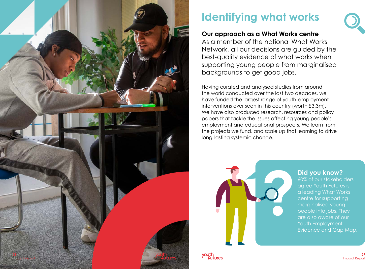

# **Identifying what works**

## **Our approach as a What Works centre**

As a member of the national What Works Network, all our decisions are guided by the best-quality evidence of what works when supporting young people from marginalised backgrounds to get good jobs.

Having curated and analysed studies from around the world conducted over the last two decades, we have funded the largest range of youth-employment interventions ever seen in this country (worth £3.3m). We have also produced research, resources and policy papers that tackle the issues affecting young people's employment and educational prospects. We learn from the projects we fund, and scale up that learning to drive long-lasting systemic change.



### **Did you know?**

60% of our stakeholders agree Youth Futures is a leading What Works centre for supporting marginalised young people into jobs. They are also aware of our Youth Employment Evidence and Gap Map.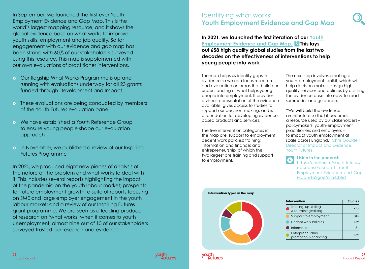In September, we launched the first ever Youth Employment Evidence and Gap Map. This is the world's largest mapping resource, and it shows the global evidence base on what works to improve youth skills, employment and job quality. So far engagement with our evidence and gap map has been strong with 60% of our stakeholders surveyed using this resource. This map is supplemented with our own evaluations of practitioner interventions.

- **o** Our flagship What Works Programme is up and running with evaluations underway for all 23 grants funded through Development and Impact
- **o** These evaluations are being conducted by members of the Youth Futures evaluation panel
- **o** We have established a Youth Reference Group to ensure young people shape our evaluation approach
- **o** In November, we published a review of our Inspiring Futures Programme

In 2021, we produced eight new pieces of analysis of the nature of the problem and what works to deal with it. This includes several reports highlighting the impact of the pandemic on the youth labour market; prospects for future employment growth; a suite of reports focusing on SME and large employer engagement in the youth labour market; and a review of our Inspiring Futures grant programme. We are seen as a leading producer of research on 'what works' when it comes to youth unemployment, almost nine out of 10 of our stakeholders surveyed trusted our research and evidence.

## Identifying what works: **Youth Employment Evidence and Gap Map**

**In 2021, we launched the first iteration of our [Youth](https://youthfuturesfoundation.org/our-work/identify/evidence-and-gap-map/) [Employment Evidence and Gap Map.](https://youthfuturesfoundation.org/our-work/identify/evidence-and-gap-map/) This lays out 658 high quality global studies from the last two decades on the effectiveness of interventions to help young people into work.**

The map helps us identify gaps in evidence so we can focus research and evaluation on areas that build our understanding of what helps young people into employment. It provides a visual representation of the evidence available, gives access to studies to support our decision-making, and is a foundation for developing evidencebased products and services.

The five intervention categories in the map are: support to employment; decent work policies; training; information and finance; and entrepreneurship, of which the two largest are training and support to employment.

**Intervention types in the map**

The next step involves creating a youth-employment toolkit, which will help decision-makers design highquality services and policies by distilling the evidence base into easy-to-read summaries and guidance.

"We will build the evidence architecture so that it becomes a resource used by our stakeholders – policymakers, youth-employment practitioners and employers – to impact youth employment at scale across England." Chris Goulden, Director of Impact and Evidence, Youth Futures

> **[Listen to the podcast:](https://anchor.fm/youth-futures/episodes/Episode-1--Youth-Employment-Evidence-and-Gap-Map-e1a2goe/a-a6sbfid)** [https://anchor.fm/youth-futures/](https://anchor.fm/youth-futures/episodes/Episode-1--Youth-Employment-Evidence-and-Gap-Map-e1a2goe/a-a6sbfid) [episodes/Episode-1--Youth-](https://anchor.fm/youth-futures/episodes/Episode-1--Youth-Employment-Evidence-and-Gap-Map-e1a2goe/a-a6sbfid)[Employment-Evidence-and-Gap-](https://anchor.fm/youth-futures/episodes/Episode-1--Youth-Employment-Evidence-and-Gap-Map-e1a2goe/a-a6sbfid)[Map-e1a2goe/a-a6sbfid](https://anchor.fm/youth-futures/episodes/Episode-1--Youth-Employment-Evidence-and-Gap-Map-e1a2goe/a-a6sbfid)

| Intervention                                    | <b>Studies</b> |
|-------------------------------------------------|----------------|
| Training, up-skilling<br>& re-training/skilling | 527            |
| Support to employment                           | 315            |
| Decent work Policies                            | 159            |
| Information                                     | 81             |
| Entrepreneurship<br>promotion & financing       | 162            |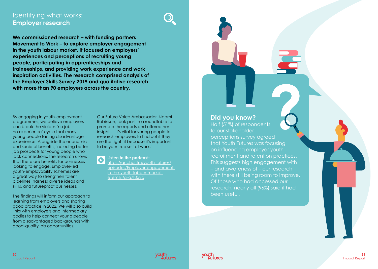## Identifying what works: **Employer research**

**We commissioned research – with funding partners Movement to Work – to explore employer engagement in the youth labour market. It focused on employers' experiences and perceptions of recruiting young people, participating in apprenticeships and traineeships, and providing work experience and work inspiration activities. The research comprised analysis of the Employer Skills Survey 2019 and qualitative research with more than 90 employers across the country.**

By engaging in youth-employment programmes, we believe employers can break the vicious 'no job – no experience' cycle that many young people facing disadvantage experience. Alongside the economic and societal benefits, including better job prospects for young people who lack connections, the research shows that there are benefits for businesses looking to engage. Employer-led youth-employability schemes are a great way to strengthen talent pipelines, harness diverse ideas and skills, and futureproof businesses.

The findings will inform our approach to learning from employers and sharing good practice in 2022. We will also build links with employers and intermediary bodies to help connect young people from disadvantaged backgrounds with good-quality job opportunities.

Our Future Voice Ambassador, Naomi Robinson, took part in a roundtable to promote the reports and offered her insights: "It's vital for young people to research employers to find out if they are the right fit because it's important to be your true self at work."

**[Listen to the podcast:](https://anchor.fm/youth-futures/episodes/Employer-engagement-in-the-youth-labour-market-e1emikj/a-a7f05vb)**

[https://anchor.fm/youth-futures/](https://anchor.fm/youth-futures/episodes/Employer-engagement-in-the-youth-labour-market-e1emikj/a-a7f05vb) [episodes/Employer-engagement](https://anchor.fm/youth-futures/episodes/Employer-engagement-in-the-youth-labour-market-e1emikj/a-a7f05vb)[in-the-youth-labour-market](https://anchor.fm/youth-futures/episodes/Employer-engagement-in-the-youth-labour-market-e1emikj/a-a7f05vb)[e1emikj/a-a7f05vb](https://anchor.fm/youth-futures/episodes/Employer-engagement-in-the-youth-labour-market-e1emikj/a-a7f05vb)

### **Did you know?**

Half (51%) of respondents to our stakeholder perceptions survey agreed that Youth Futures was focusing on influencing employer youth recruitment and retention practices. This suggests high engagement with – and awareness of – our research with there still being room to improve. Of those who had accessed our research, nearly all (96%) said it had been useful.

**30**

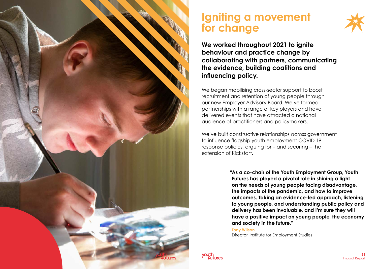

## **Igniting a movement for change**



**We worked throughout 2021 to ignite behaviour and practice change by collaborating with partners, communicating the evidence, building coalitions and influencing policy.** 

We began mobilising cross-sector support to boost recruitment and retention of young people through our new Employer Advisory Board. We've formed partnerships with a range of key players and have delivered events that have attracted a national audience of practitioners and policymakers.

We've built constructive relationships across government to influence flagship youth employment COVID-19 response policies, arguing for – and securing – the extension of Kickstart.

> **"As a co-chair of the Youth Employment Group, Youth Futures has played a pivotal role in shining a light on the needs of young people facing disadvantage, the impacts of the pandemic, and how to improve outcomes. Taking an evidence-led approach, listening to young people, and understanding public policy and delivery has been invaluable, and I'm sure they will have a positive impact on young people, the economy and society in the future."**

**Tony Wilson**  Director, Institute for Employment Studies

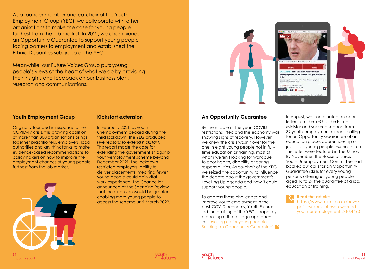As a founder member and co-chair of the Youth Employment Group (YEG), we collaborate with other organisations to make the case for young people furthest from the job market. In 2021, we championed an Opportunity Guarantee to support young people facing barriers to employment and established the Ethnic Disparities subgroup of the YEG.

Meanwhile, our Future Voices Group puts young people's views at the heart of what we do by providing their insights and feedback on our business plan, research and communications.

#### **Youth Employment Group**

Originally founded in response to the COVID-19 crisis, this growing coalition of more than 300 organisations brings together practitioners, employers, local authorities and key think tanks to make evidence-based recommendations to policymakers on how to improve the employment chances of young people furthest from the job market.

#### **Kickstart extension**

In February 2021, as youth unemployment peaked during the third lockdown, the YEG produced *Five reasons to extend Kickstart.* This report made the case for extending the government's flagship youth-employment scheme beyond December 2021. The lockdown restricted employers' ability to deliver placements, meaning fewer young people could gain vital work experience. The Chancellor announced at the Spending Review that the extension would be granted, enabling more young people to access the scheme until March 2022.



#### **An Opportunity Guarantee**

By the middle of the year, COVID restrictions lifted and the economy was showing signs of recovery. However, we knew the crisis wasn't over for the one in eight young people not in fulltime education or training, most of whom weren't looking for work due to poor health, disability or caring responsibilities. As co-chair of the YEG, we seized the opportunity to influence the debate about the government's Levelling Up agenda and how it could support young people.

To address these challenges and improve youth employment in the post-COVID economy, Youth Futures led the drafting of the YEG's paper by proposing a three-stage approach in ['Levelling up for young people:](https://youthfuturesfoundation.org/news/levelling-up-for-young-people/)  [Building an Opportunity Guarantee'.](https://youthfuturesfoundation.org/news/levelling-up-for-young-people/) In August, we coordinated an open letter from the YEG to the Prime Minister and secured support from 89 youth-employment experts calling for an Opportunity Guarantee of an education place, apprenticeship or job for all young people. Excerpts from the letter were featured in The Mirror. By November, the House of Lords Youth Unemployment Committee had backed our calls for an Opportunity Guarantee (skills for every young person), offering **all** young people aged 16 to 24 the guarantee of a job, education or training.

**[Read the article:](https://www.mirror.co.uk/news/politics/boris-johnson-warned-youth-unemployment-24864490)** [https://www.mirror.co.uk/news/](https://www.mirror.co.uk/news/politics/boris-johnson-warned-youth-unemployment-24864490) [politics/boris-johnson-warned](https://www.mirror.co.uk/news/politics/boris-johnson-warned-youth-unemployment-24864490)[youth-unemployment-24864490](https://www.mirror.co.uk/news/politics/boris-johnson-warned-youth-unemployment-24864490)



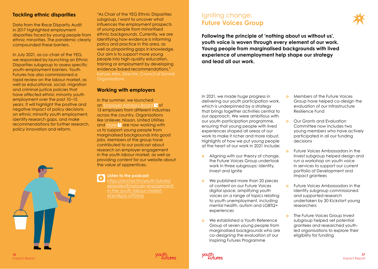#### **Tackling ethnic disparities**

Data from the Race Disparity Audit in 2017 highlighted employment disparities faced by young people from ethnic minorities. The pandemic clearly compounded these barriers.

In July 2021, as co-chair of the YEG, we responded by launching an Ethnic Disparities subgroup to assess specific youth-employment barriers. Youth Futures has also commissioned a rapid review on the labour market, as well as educational, social, migration and criminal-justice policies that have affected ethnic minority youth employment over the past 10–15 years. It will highlight the positive and negative impact of policy decisions on ethnic minority youth employment, identify research gaps, and make recommendations for further research, policy innovation and reform.

"As Chair of the YEG Ethnic Disparities subgroup, I want to uncover what influences the employment prospects of young people from minoritised ethnic backgrounds. Currently, we are identifying how evidence is informing policy and practice in this area, as well as pinpointing gaps in knowledge. Our aim is to support more young people into high-quality education, training or employment by developing evidence-based recommendations." Kahiye Alim, Director, Council of Somali **Organisations** 

#### **Working with employers**

In the summer, we launched an [Employer Advisory Board](https://youthfuturesfoundation.org/our-work/ignite/employer-advisory-board/) <sup>2</sup> of 13 employers from different industries across the country. Organisations like Unilever, Nissan, United Utilities and [more](https://youthfuturesfoundation.org/our-work/ignite/employer-advisory-board/)  $\sqrt{\alpha}$  are now working with us to support young people from marginalised backgrounds into good jobs. Members of the group have contributed to our podcast about research on employer engagement in the youth labour market, as well as providing content for our website about the value of apprentices.

#### **[Listen to the podcast:](https://anchor.fm/youth-futures/episodes/Employer-engagement-in-the-youth-labour-market-e1emikj/a-a7f05vb)**

[https://anchor.fm/youth-futures/](https://anchor.fm/youth-futures/episodes/Employer-engagement-in-the-youth-labour-market-e1emikj/a-a7f05vb) [episodes/Employer-engagement](https://anchor.fm/youth-futures/episodes/Employer-engagement-in-the-youth-labour-market-e1emikj/a-a7f05vb)[in-the-youth-labour-market](https://anchor.fm/youth-futures/episodes/Employer-engagement-in-the-youth-labour-market-e1emikj/a-a7f05vb)[e1emikj/a-a7f05vb](https://anchor.fm/youth-futures/episodes/Employer-engagement-in-the-youth-labour-market-e1emikj/a-a7f05vb)

### Igniting change: **Future Voices Group**

**Following the principle of 'nothing about us without us', youth voice is woven through every element of our work. Young people from marginalised backgrounds with lived experience of unemployment help shape our strategy and lead all our work.**

In 2021, we made huge progress in delivering our youth participation work, which is underpinned by a strategy that brings together activities central to our approach. We were ambitious with our youth-participation programme, ensuring that young people with lived experiences shaped all areas of our work to make it richer and more robust. Highlights of how we put young people at the heart of our work in 2021 include:

- **o** Aligning with our theory of change, the Future Voices Group undertook work in three subgroups: Identify, Invest and Ignite
- **o** We published more than 20 pieces of content on our Future Voices digital space, amplifying youth voices on a range of topics relating to youth unemployment, including mental health, autism and LGBTQ+ experiences
- **o** We established a Youth Reference Group of seven young people from marginalised backgrounds who are co-designing the evaluation of our Inspiring Futures Programme
- **o** Members of the Future Voices Group have helped co-design the evaluation of our Infrastructure Resilience Fund
- **o** Our Grants and Evaluation Committee now includes two young members who have actively participated in all our funding decisions
- **o** Future Voices Ambassadors in the Invest subgroup helped design and run a workshop on youth voice in services to support our current portfolio of Development and Impact grantees
- **o** Future Voices Ambassadors in the Identify subgroup commissioned and supported research undertaken by 30 Kickstart young researchers
- **o The Future Voices Group Invest** subgroup helped vet potential grantees and researched youthled organisations to explore their eligibility for funding



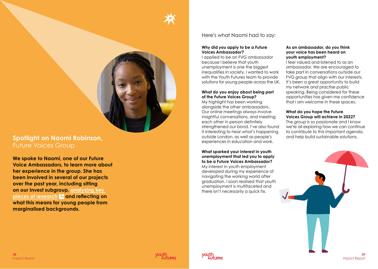

## Spotlight on Naomi Robinson, **Spotlight on Naomi Robinson**, **Spotlight on National Science of Account of Account Account of Account of Account of Account of Account of Account of Account of Account of Account of Account of** Future Voices Group

**We spoke to Naomi, one of our Future Voice Ambassadors, to learn more about her experience in the group. She has been involved in several of our projects over the past year, including sitting on our Invest subgroup, [analysing key](https://youthfuturesfoundation.org/future-voices/reflections-on-the-rise-in-young-entrepreneurs/)  [pieces of research](https://youthfuturesfoundation.org/future-voices/reflections-on-the-rise-in-young-entrepreneurs/) and reflecting on what this means for young people from marginalised backgrounds.** 

#### Here's what Naomi had to say:

#### **Why did you apply to be a Future Voices Ambassador?**

I applied to be an FVG ambassador because I believe that youth unemployment is one the biggest inequalities in society. I wanted to work with the Youth Futures team to provide solutions for young people across the UK.

#### **What do you enjoy about being part of the Future Voices Group?**

My highlight has been working alongside the other ambassadors. Our online meetings always involve insightful conversations, and meeting each other in person definitely strengthened our bond. I've also found it interesting to hear what's happening outside London, as well as people's experiences in education and work.

#### **What sparked your interest in youth unemployment that led you to apply to be a Future Voices Ambassador?** My interest in youth employment developed during my experience of navigating the working world after graduation. I soon realised that youth unemployment is multifaceted and there isn't necessarily a quick fix.

#### **As an ambassador, do you think your voice has been heard on youth employment?**

I feel valued and listened to as an ambassador. We are encouraged to take part in conversations outside our FVG group that align with our interests. It's been a great opportunity to build my network and practise public speaking. Being considered for these opportunities has given me confidence that I am welcome in these spaces.

#### **What do you hope the Future Voices Group will achieve in 2022?**

The group is so passionate and I know we're all exploring how we can continue to contribute to this important agenda,





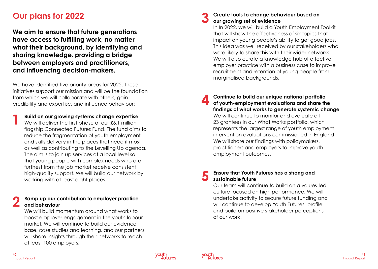## **Our plans for 2022**

**We aim to ensure that future generations have access to fulfilling work, no matter what their background, by identifying and sharing knowledge, providing a bridge between employers and practitioners, and influencing decision-makers.** 

We have identified five priority areas for 2022. These initiatives support our mission and will be the foundation from which we will collaborate with others, gain credibility and expertise, and influence behaviour:

**1 Build on our growing systems change expertise**<br>We will deliver the first phase of our £6.1 million flagship Connected Futures Fund. The fund aims to reduce the fragmentation of youth employment and skills delivery in the places that need it most, as well as contributing to the Levelling Up agenda. The aim is to join up services at a local level so that young people with complex needs who are furthest from the job market receive consistent high-quality support. We will build our network by working with at least eight places.

### **2 Ramp up our contribution to employer practice and behaviour**

 We will build momentum around what works to boost employer engagement in the youth labour market. We will continue to build our evidence base, case studies and learning, and our partners will share insights through their networks to reach at least 100 employers.

#### **3 Create tools to change behaviour based on our growing set of evidence**

 In In 2022, we will build a Youth Employment Toolkit that will show the effectiveness of six topics that impact on young people's ability to get good jobs. This idea was well received by our stakeholders who were likely to share this with their wider networks. We will also curate a knowledge hub of effective employer practice with a business case to improve recruitment and retention of young people from marginalised backgrounds.

**4 Continue to build our unique national portfolio of youth-employment evaluations and share the findings of what works to generate systemic change**  We will continue to monitor and evaluate all 23 grantees in our What Works portfolio, which represents the largest range of youth employment intervention evaluations commissioned in England. We will share our findings with policymakers, practitioners and employers to improve youthemployment outcomes.

### **5 Ensure that Youth Futures has a strong and sustainable future**

 Our team will continue to build on a values-led culture focused on high performance. We will undertake activity to secure future funding and will continue to develop Youth Futures' profile and build on positive stakeholder perceptions of our work.